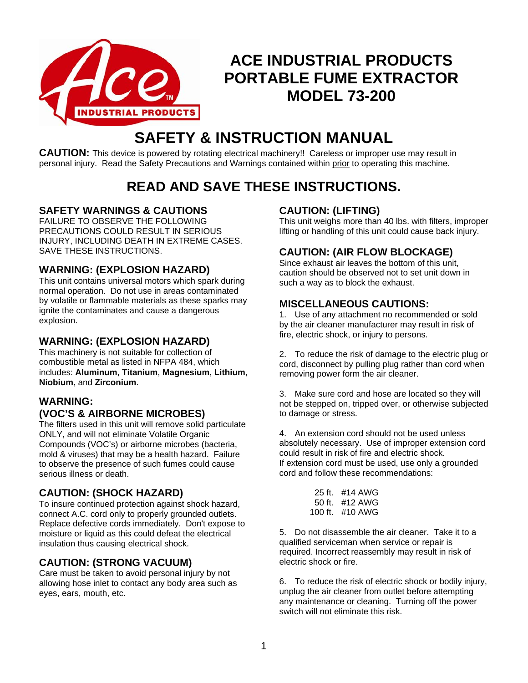

## **ACE INDUSTRIAL PRODUCTS PORTABLE FUME EXTRACTOR MODEL 73-200**

# **SAFETY & INSTRUCTION MANUAL**

**CAUTION:** This device is powered by rotating electrical machinery!! Careless or improper use may result in personal injury. Read the Safety Precautions and Warnings contained within prior to operating this machine.

## **READ AND SAVE THESE INSTRUCTIONS.**

## **SAFETY WARNINGS & CAUTIONS**

FAILURE TO OBSERVE THE FOLLOWING PRECAUTIONS COULD RESULT IN SERIOUS INJURY, INCLUDING DEATH IN EXTREME CASES. SAVE THESE INSTRUCTIONS.

## **WARNING: (EXPLOSION HAZARD)**

This unit contains universal motors which spark during normal operation. Do not use in areas contaminated by volatile or flammable materials as these sparks may ignite the contaminates and cause a dangerous explosion.

## **WARNING: (EXPLOSION HAZARD)**

This machinery is not suitable for collection of combustible metal as listed in NFPA 484, which includes: **Aluminum**, **Titanium**, **Magnesium**, **Lithium**, **Niobium**, and **Zirconium**.

### **WARNING: (VOC'S & AIRBORNE MICROBES)**

The filters used in this unit will remove solid particulate ONLY, and will not eliminate Volatile Organic Compounds (VOC's) or airborne microbes (bacteria, mold & viruses) that may be a health hazard. Failure to observe the presence of such fumes could cause serious illness or death.

## **CAUTION: (SHOCK HAZARD)**

To insure continued protection against shock hazard, connect A.C. cord only to properly grounded outlets. Replace defective cords immediately. Don't expose to moisture or liquid as this could defeat the electrical insulation thus causing electrical shock.

## **CAUTION: (STRONG VACUUM)**

Care must be taken to avoid personal injury by not allowing hose inlet to contact any body area such as eyes, ears, mouth, etc.

## **CAUTION: (LIFTING)**

This unit weighs more than 40 lbs. with filters, improper lifting or handling of this unit could cause back injury.

## **CAUTION: (AIR FLOW BLOCKAGE)**

Since exhaust air leaves the bottom of this unit, caution should be observed not to set unit down in such a way as to block the exhaust.

## **MISCELLANEOUS CAUTIONS:**

1. Use of any attachment no recommended or sold by the air cleaner manufacturer may result in risk of fire, electric shock, or injury to persons.

2. To reduce the risk of damage to the electric plug or cord, disconnect by pulling plug rather than cord when removing power form the air cleaner.

3. Make sure cord and hose are located so they will not be stepped on, tripped over, or otherwise subjected to damage or stress.

4. An extension cord should not be used unless absolutely necessary. Use of improper extension cord could result in risk of fire and electric shock. If extension cord must be used, use only a grounded cord and follow these recommendations:

| 25 ft. #14 AWG    |
|-------------------|
| 50 ft. $\#12$ AWG |
| 100 ft. #10 AWG   |

5. Do not disassemble the air cleaner. Take it to a qualified serviceman when service or repair is required. Incorrect reassembly may result in risk of electric shock or fire.

6. To reduce the risk of electric shock or bodily injury, unplug the air cleaner from outlet before attempting any maintenance or cleaning. Turning off the power switch will not eliminate this risk.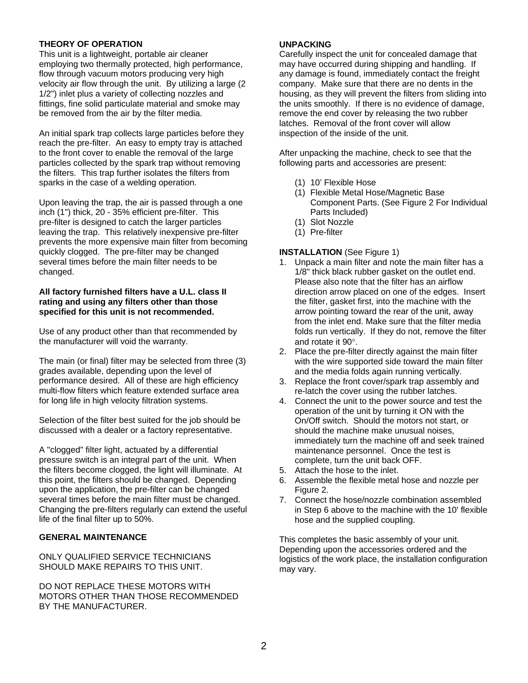#### **THEORY OF OPERATION**

This unit is a lightweight, portable air cleaner employing two thermally protected, high performance, flow through vacuum motors producing very high velocity air flow through the unit. By utilizing a large (2 1/2") inlet plus a variety of collecting nozzles and fittings, fine solid particulate material and smoke may be removed from the air by the filter media.

An initial spark trap collects large particles before they reach the pre-filter. An easy to empty tray is attached to the front cover to enable the removal of the large particles collected by the spark trap without removing the filters. This trap further isolates the filters from sparks in the case of a welding operation.

Upon leaving the trap, the air is passed through a one inch (1") thick, 20 - 35% efficient pre-filter. This pre-filter is designed to catch the larger particles leaving the trap. This relatively inexpensive pre-filter prevents the more expensive main filter from becoming quickly clogged. The pre-filter may be changed several times before the main filter needs to be changed.

#### **All factory furnished filters have a U.L. class II rating and using any filters other than those specified for this unit is not recommended.**

Use of any product other than that recommended by the manufacturer will void the warranty.

The main (or final) filter may be selected from three (3) grades available, depending upon the level of performance desired. All of these are high efficiency multi-flow filters which feature extended surface area for long life in high velocity filtration systems.

Selection of the filter best suited for the job should be discussed with a dealer or a factory representative.

A "clogged" filter light, actuated by a differential pressure switch is an integral part of the unit. When the filters become clogged, the light will illuminate. At this point, the filters should be changed. Depending upon the application, the pre-filter can be changed several times before the main filter must be changed. Changing the pre-filters regularly can extend the useful life of the final filter up to 50%.

#### **GENERAL MAINTENANCE**

ONLY QUALIFIED SERVICE TECHNICIANS SHOULD MAKE REPAIRS TO THIS UNIT.

DO NOT REPLACE THESE MOTORS WITH MOTORS OTHER THAN THOSE RECOMMENDED BY THE MANUFACTURER.

#### **UNPACKING**

Carefully inspect the unit for concealed damage that may have occurred during shipping and handling. If any damage is found, immediately contact the freight company. Make sure that there are no dents in the housing, as they will prevent the filters from sliding into the units smoothly. If there is no evidence of damage, remove the end cover by releasing the two rubber latches. Removal of the front cover will allow inspection of the inside of the unit.

After unpacking the machine, check to see that the following parts and accessories are present:

- (1) 10' Flexible Hose
- (1) Flexible Metal Hose/Magnetic Base Component Parts. (See Figure 2 For Individual Parts Included)
- (1) Slot Nozzle
- (1) Pre-filter

#### **INSTALLATION** (See Figure 1)

- 1. Unpack a main filter and note the main filter has a 1/8" thick black rubber gasket on the outlet end. Please also note that the filter has an airflow direction arrow placed on one of the edges. Insert the filter, gasket first, into the machine with the arrow pointing toward the rear of the unit, away from the inlet end. Make sure that the filter media folds run vertically. If they do not, remove the filter and rotate it 90°.
- 2. Place the pre-filter directly against the main filter with the wire supported side toward the main filter and the media folds again running vertically.
- 3. Replace the front cover/spark trap assembly and re-latch the cover using the rubber latches.
- 4. Connect the unit to the power source and test the operation of the unit by turning it ON with the On/Off switch. Should the motors not start, or should the machine make unusual noises, immediately turn the machine off and seek trained maintenance personnel. Once the test is complete, turn the unit back OFF.
- 5. Attach the hose to the inlet.
- 6. Assemble the flexible metal hose and nozzle per Figure 2.
- 7. Connect the hose/nozzle combination assembled in Step 6 above to the machine with the 10' flexible hose and the supplied coupling.

This completes the basic assembly of your unit. Depending upon the accessories ordered and the logistics of the work place, the installation configuration may vary.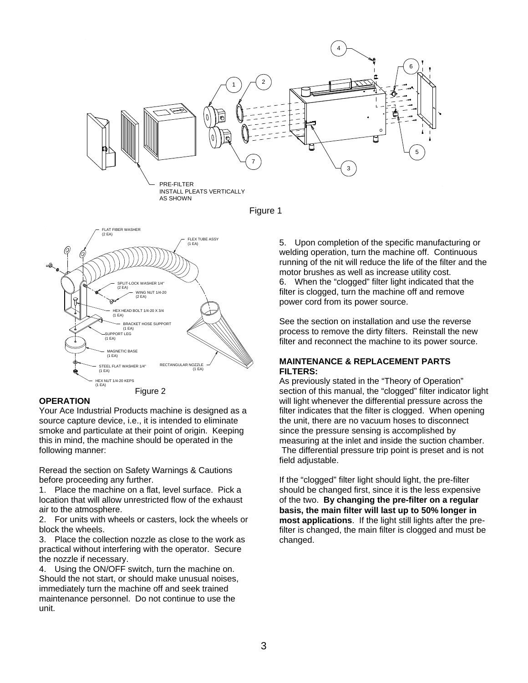





#### **OPERATION**

Your Ace Industrial Products machine is designed as a source capture device, i.e., it is intended to eliminate smoke and particulate at their point of origin. Keeping this in mind, the machine should be operated in the following manner:

Reread the section on Safety Warnings & Cautions before proceeding any further.

1. Place the machine on a flat, level surface. Pick a location that will allow unrestricted flow of the exhaust air to the atmosphere.

2. For units with wheels or casters, lock the wheels or block the wheels.

3. Place the collection nozzle as close to the work as practical without interfering with the operator. Secure the nozzle if necessary.

4. Using the ON/OFF switch, turn the machine on. Should the not start, or should make unusual noises, immediately turn the machine off and seek trained maintenance personnel. Do not continue to use the unit.

5. Upon completion of the specific manufacturing or welding operation, turn the machine off. Continuous running of the nit will reduce the life of the filter and the motor brushes as well as increase utility cost.

6. When the "clogged" filter light indicated that the filter is clogged, turn the machine off and remove power cord from its power source.

See the section on installation and use the reverse process to remove the dirty filters. Reinstall the new filter and reconnect the machine to its power source.

#### **MAINTENANCE & REPLACEMENT PARTS FILTERS:**

As previously stated in the "Theory of Operation" section of this manual, the "clogged" filter indicator light will light whenever the differential pressure across the filter indicates that the filter is clogged. When opening the unit, there are no vacuum hoses to disconnect since the pressure sensing is accomplished by measuring at the inlet and inside the suction chamber. The differential pressure trip point is preset and is not field adjustable.

If the "clogged" filter light should light, the pre-filter should be changed first, since it is the less expensive of the two. **By changing the pre-filter on a regular basis, the main filter will last up to 50% longer in most applications**. If the light still lights after the prefilter is changed, the main filter is clogged and must be changed.